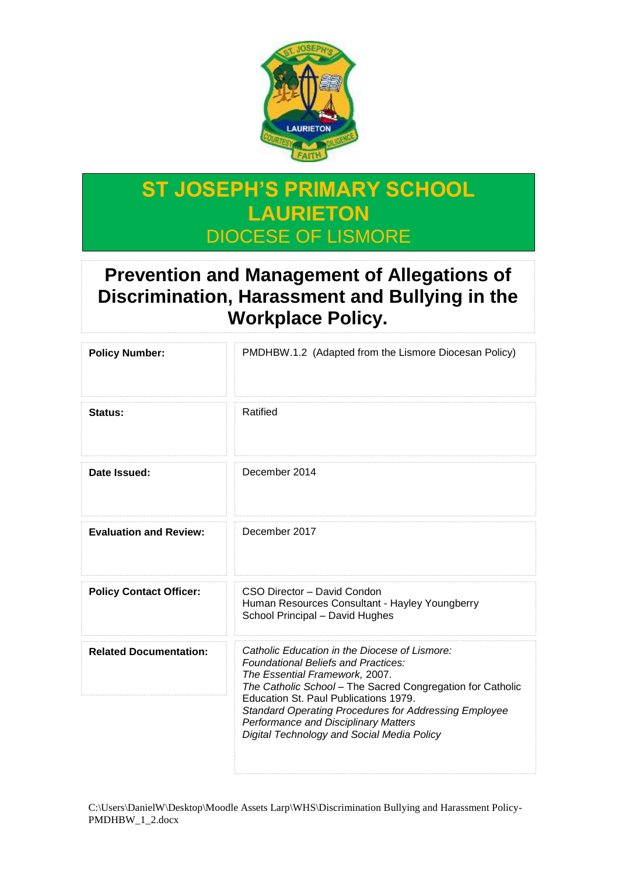

# **ST JOSEPH'S PRIMARY SCHOOL LAURIETON** DIOCESE OF LISMORE

# **Prevention and Management of Allegations of Discrimination, Harassment and Bullying in the Workplace Policy.**

| <b>Policy Number:</b>          | PMDHBW.1.2 (Adapted from the Lismore Diocesan Policy)                                                                                                                                                                                                                                                                                                                                             |
|--------------------------------|---------------------------------------------------------------------------------------------------------------------------------------------------------------------------------------------------------------------------------------------------------------------------------------------------------------------------------------------------------------------------------------------------|
| Status:                        | Ratified                                                                                                                                                                                                                                                                                                                                                                                          |
| Date Issued:                   | December 2014                                                                                                                                                                                                                                                                                                                                                                                     |
| <b>Evaluation and Review:</b>  | December 2017                                                                                                                                                                                                                                                                                                                                                                                     |
| <b>Policy Contact Officer:</b> | CSO Director - David Condon<br>Human Resources Consultant - Hayley Youngberry<br>School Principal - David Hughes                                                                                                                                                                                                                                                                                  |
| <b>Related Documentation:</b>  | Catholic Education in the Diocese of Lismore:<br><b>Foundational Beliefs and Practices:</b><br>The Essential Framework, 2007.<br>The Catholic School - The Sacred Congregation for Catholic<br>Education St. Paul Publications 1979.<br><b>Standard Operating Procedures for Addressing Employee</b><br><b>Performance and Disciplinary Matters</b><br>Digital Technology and Social Media Policy |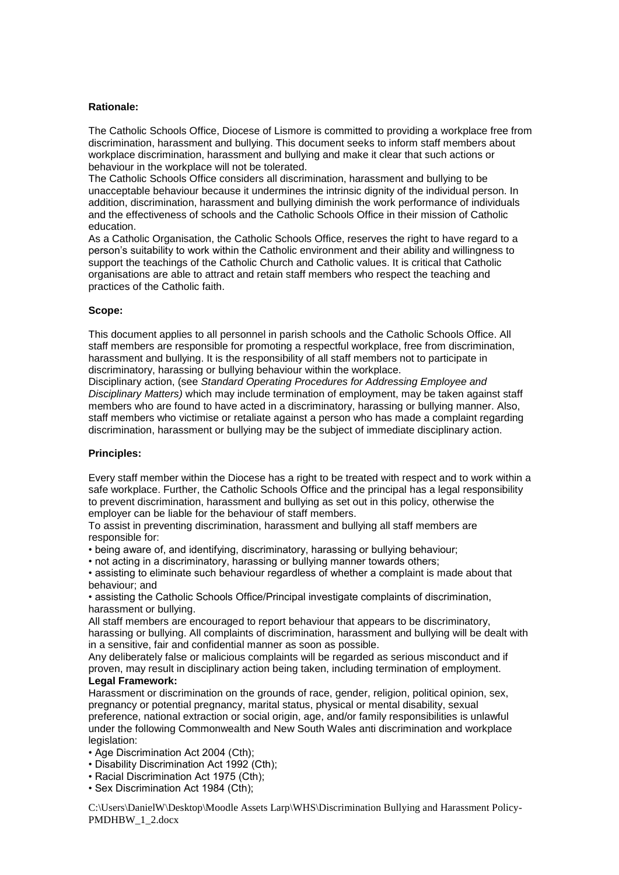#### **Rationale:**

The Catholic Schools Office, Diocese of Lismore is committed to providing a workplace free from discrimination, harassment and bullying. This document seeks to inform staff members about workplace discrimination, harassment and bullying and make it clear that such actions or behaviour in the workplace will not be tolerated.

The Catholic Schools Office considers all discrimination, harassment and bullying to be unacceptable behaviour because it undermines the intrinsic dignity of the individual person. In addition, discrimination, harassment and bullying diminish the work performance of individuals and the effectiveness of schools and the Catholic Schools Office in their mission of Catholic education.

As a Catholic Organisation, the Catholic Schools Office, reserves the right to have regard to a person's suitability to work within the Catholic environment and their ability and willingness to support the teachings of the Catholic Church and Catholic values. It is critical that Catholic organisations are able to attract and retain staff members who respect the teaching and practices of the Catholic faith.

#### **Scope:**

This document applies to all personnel in parish schools and the Catholic Schools Office. All staff members are responsible for promoting a respectful workplace, free from discrimination, harassment and bullying. It is the responsibility of all staff members not to participate in discriminatory, harassing or bullying behaviour within the workplace.

Disciplinary action, (see *Standard Operating Procedures for Addressing Employee and Disciplinary Matters)* which may include termination of employment, may be taken against staff members who are found to have acted in a discriminatory, harassing or bullying manner. Also, staff members who victimise or retaliate against a person who has made a complaint regarding discrimination, harassment or bullying may be the subject of immediate disciplinary action.

#### **Principles:**

Every staff member within the Diocese has a right to be treated with respect and to work within a safe workplace. Further, the Catholic Schools Office and the principal has a legal responsibility to prevent discrimination, harassment and bullying as set out in this policy, otherwise the employer can be liable for the behaviour of staff members.

To assist in preventing discrimination, harassment and bullying all staff members are responsible for:

• being aware of, and identifying, discriminatory, harassing or bullying behaviour;

• not acting in a discriminatory, harassing or bullying manner towards others;

• assisting to eliminate such behaviour regardless of whether a complaint is made about that behaviour; and

• assisting the Catholic Schools Office/Principal investigate complaints of discrimination, harassment or bullying.

All staff members are encouraged to report behaviour that appears to be discriminatory, harassing or bullying. All complaints of discrimination, harassment and bullying will be dealt with in a sensitive, fair and confidential manner as soon as possible.

Any deliberately false or malicious complaints will be regarded as serious misconduct and if proven, may result in disciplinary action being taken, including termination of employment. **Legal Framework:**

Harassment or discrimination on the grounds of race, gender, religion, political opinion, sex, pregnancy or potential pregnancy, marital status, physical or mental disability, sexual preference, national extraction or social origin, age, and/or family responsibilities is unlawful under the following Commonwealth and New South Wales anti discrimination and workplace legislation:

• Age Discrimination Act 2004 (Cth);

• Disability Discrimination Act 1992 (Cth);

- Racial Discrimination Act 1975 (Cth);
- Sex Discrimination Act 1984 (Cth);

C:\Users\DanielW\Desktop\Moodle Assets Larp\WHS\Discrimination Bullying and Harassment Policy-PMDHBW<sub>1</sub> 2.docx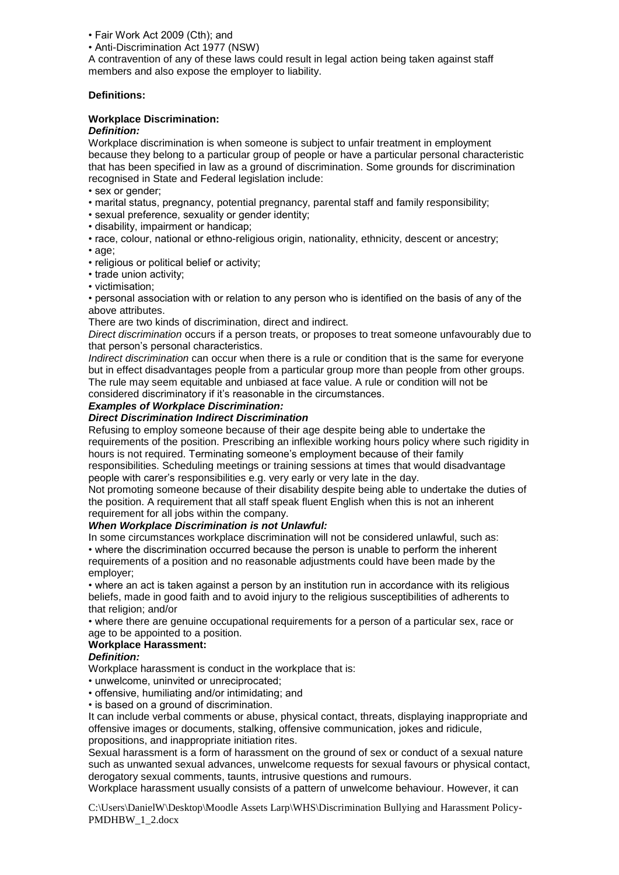• Fair Work Act 2009 (Cth); and

• Anti-Discrimination Act 1977 (NSW)

A contravention of any of these laws could result in legal action being taken against staff members and also expose the employer to liability.

# **Definitions:**

#### **Workplace Discrimination:**

#### *Definition:*

Workplace discrimination is when someone is subject to unfair treatment in employment because they belong to a particular group of people or have a particular personal characteristic that has been specified in law as a ground of discrimination. Some grounds for discrimination recognised in State and Federal legislation include:

• sex or gender;

- marital status, pregnancy, potential pregnancy, parental staff and family responsibility;
- sexual preference, sexuality or gender identity;
- disability, impairment or handicap;
- race, colour, national or ethno-religious origin, nationality, ethnicity, descent or ancestry;
- age;
- religious or political belief or activity;
- trade union activity;
- victimisation;

• personal association with or relation to any person who is identified on the basis of any of the above attributes.

There are two kinds of discrimination, direct and indirect.

*Direct discrimination* occurs if a person treats, or proposes to treat someone unfavourably due to that person's personal characteristics.

*Indirect discrimination* can occur when there is a rule or condition that is the same for everyone but in effect disadvantages people from a particular group more than people from other groups. The rule may seem equitable and unbiased at face value. A rule or condition will not be considered discriminatory if it's reasonable in the circumstances.

# *Examples of Workplace Discrimination:*

#### *Direct Discrimination Indirect Discrimination*

Refusing to employ someone because of their age despite being able to undertake the requirements of the position. Prescribing an inflexible working hours policy where such rigidity in hours is not required. Terminating someone's employment because of their family responsibilities. Scheduling meetings or training sessions at times that would disadvantage

people with carer's responsibilities e.g. very early or very late in the day.

Not promoting someone because of their disability despite being able to undertake the duties of the position. A requirement that all staff speak fluent English when this is not an inherent requirement for all jobs within the company.

#### *When Workplace Discrimination is not Unlawful:*

In some circumstances workplace discrimination will not be considered unlawful, such as: • where the discrimination occurred because the person is unable to perform the inherent requirements of a position and no reasonable adjustments could have been made by the employer;

• where an act is taken against a person by an institution run in accordance with its religious beliefs, made in good faith and to avoid injury to the religious susceptibilities of adherents to that religion; and/or

• where there are genuine occupational requirements for a person of a particular sex, race or age to be appointed to a position.

# **Workplace Harassment:**

#### *Definition:*

Workplace harassment is conduct in the workplace that is:

• unwelcome, uninvited or unreciprocated;

• offensive, humiliating and/or intimidating; and

• is based on a ground of discrimination.

It can include verbal comments or abuse, physical contact, threats, displaying inappropriate and offensive images or documents, stalking, offensive communication, jokes and ridicule, propositions, and inappropriate initiation rites.

Sexual harassment is a form of harassment on the ground of sex or conduct of a sexual nature such as unwanted sexual advances, unwelcome requests for sexual favours or physical contact, derogatory sexual comments, taunts, intrusive questions and rumours.

Workplace harassment usually consists of a pattern of unwelcome behaviour. However, it can

C:\Users\DanielW\Desktop\Moodle Assets Larp\WHS\Discrimination Bullying and Harassment Policy-PMDHBW<sub>1</sub> 2.docx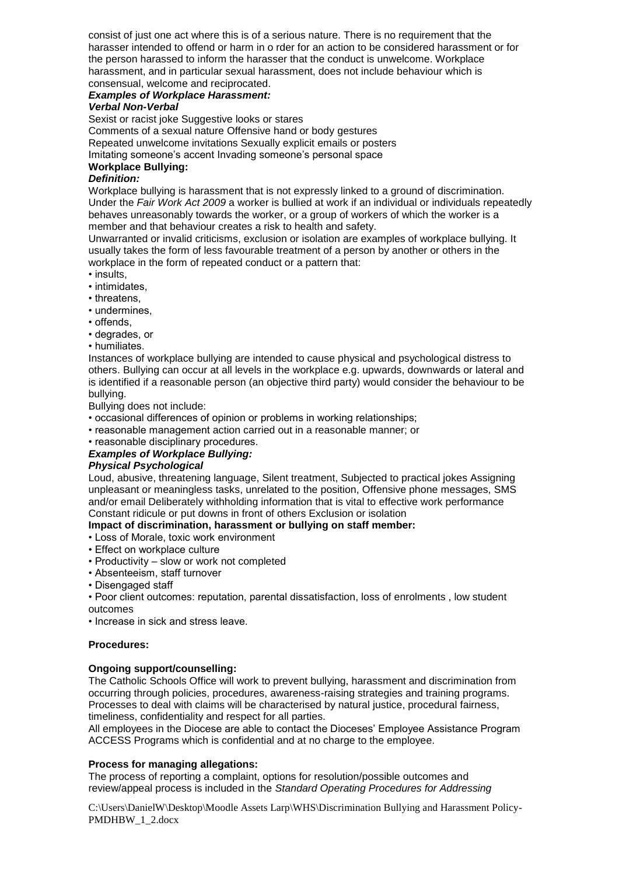consist of just one act where this is of a serious nature. There is no requirement that the harasser intended to offend or harm in o rder for an action to be considered harassment or for the person harassed to inform the harasser that the conduct is unwelcome. Workplace harassment, and in particular sexual harassment, does not include behaviour which is consensual, welcome and reciprocated.

# *Examples of Workplace Harassment:*

### *Verbal Non-Verbal*

Sexist or racist joke Suggestive looks or stares Comments of a sexual nature Offensive hand or body gestures Repeated unwelcome invitations Sexually explicit emails or posters Imitating someone's accent Invading someone's personal space **Workplace Bullying:**

# *Definition:*

Workplace bullying is harassment that is not expressly linked to a ground of discrimination. Under the *Fair Work Act 2009* a worker is bullied at work if an individual or individuals repeatedly behaves unreasonably towards the worker, or a group of workers of which the worker is a member and that behaviour creates a risk to health and safety.

Unwarranted or invalid criticisms, exclusion or isolation are examples of workplace bullying. It usually takes the form of less favourable treatment of a person by another or others in the workplace in the form of repeated conduct or a pattern that:

- insults,
- intimidates,
- threatens,
- undermines,
- offends,
- degrades, or
- humiliates.

Instances of workplace bullying are intended to cause physical and psychological distress to others. Bullying can occur at all levels in the workplace e.g. upwards, downwards or lateral and is identified if a reasonable person (an objective third party) would consider the behaviour to be bullying.

Bullying does not include:

- occasional differences of opinion or problems in working relationships;
- reasonable management action carried out in a reasonable manner; or

• reasonable disciplinary procedures.

# *Examples of Workplace Bullying:*

# *Physical Psychological*

Loud, abusive, threatening language, Silent treatment, Subjected to practical jokes Assigning unpleasant or meaningless tasks, unrelated to the position, Offensive phone messages, SMS and/or email Deliberately withholding information that is vital to effective work performance Constant ridicule or put downs in front of others Exclusion or isolation

# **Impact of discrimination, harassment or bullying on staff member:**

- Loss of Morale, toxic work environment
- Effect on workplace culture
- Productivity slow or work not completed
- Absenteeism, staff turnover
- Disengaged staff

• Poor client outcomes: reputation, parental dissatisfaction, loss of enrolments , low student outcomes

• Increase in sick and stress leave.

# **Procedures:**

# **Ongoing support/counselling:**

The Catholic Schools Office will work to prevent bullying, harassment and discrimination from occurring through policies, procedures, awareness-raising strategies and training programs. Processes to deal with claims will be characterised by natural justice, procedural fairness, timeliness, confidentiality and respect for all parties.

All employees in the Diocese are able to contact the Dioceses' Employee Assistance Program ACCESS Programs which is confidential and at no charge to the employee.

#### **Process for managing allegations:**

The process of reporting a complaint, options for resolution/possible outcomes and review/appeal process is included in the *Standard Operating Procedures for Addressing* 

C:\Users\DanielW\Desktop\Moodle Assets Larp\WHS\Discrimination Bullying and Harassment Policy-PMDHBW<sub>1</sub>2.docx